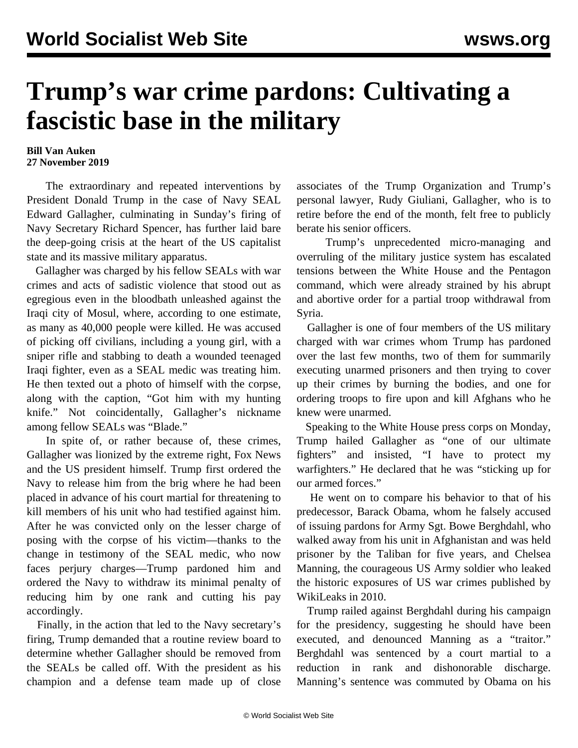## **Trump's war crime pardons: Cultivating a fascistic base in the military**

## **Bill Van Auken 27 November 2019**

 The extraordinary and repeated interventions by President Donald Trump in the case of Navy SEAL Edward Gallagher, culminating in Sunday's firing of Navy Secretary Richard Spencer, has further laid bare the deep-going crisis at the heart of the US capitalist state and its massive military apparatus.

 Gallagher was charged by his fellow SEALs with war crimes and acts of sadistic violence that stood out as egregious even in the bloodbath unleashed against the Iraqi city of Mosul, where, according to one estimate, as many as 40,000 people were killed. He was accused of picking off civilians, including a young girl, with a sniper rifle and stabbing to death a wounded teenaged Iraqi fighter, even as a SEAL medic was treating him. He then texted out a photo of himself with the corpse, along with the caption, "Got him with my hunting knife." Not coincidentally, Gallagher's nickname among fellow SEALs was "Blade."

 In spite of, or rather because of, these crimes, Gallagher was lionized by the extreme right, Fox News and the US president himself. Trump first ordered the Navy to release him from the brig where he had been placed in advance of his court martial for threatening to kill members of his unit who had testified against him. After he was convicted only on the lesser charge of posing with the corpse of his victim—thanks to the change in testimony of the SEAL medic, who now faces perjury charges—Trump pardoned him and ordered the Navy to withdraw its minimal penalty of reducing him by one rank and cutting his pay accordingly.

 Finally, in the action that led to the Navy secretary's firing, Trump demanded that a routine review board to determine whether Gallagher should be removed from the SEALs be called off. With the president as his champion and a defense team made up of close associates of the Trump Organization and Trump's personal lawyer, Rudy Giuliani, Gallagher, who is to retire before the end of the month, felt free to publicly berate his senior officers.

 Trump's unprecedented micro-managing and overruling of the military justice system has escalated tensions between the White House and the Pentagon command, which were already strained by his abrupt and abortive order for a partial troop withdrawal from Syria.

 Gallagher is one of four members of the US military charged with war crimes whom Trump has pardoned over the last few months, two of them for summarily executing unarmed prisoners and then trying to cover up their crimes by burning the bodies, and one for ordering troops to fire upon and kill Afghans who he knew were unarmed.

 Speaking to the White House press corps on Monday, Trump hailed Gallagher as "one of our ultimate fighters" and insisted, "I have to protect my warfighters." He declared that he was "sticking up for our armed forces."

 He went on to compare his behavior to that of his predecessor, Barack Obama, whom he falsely accused of issuing pardons for Army Sgt. Bowe Berghdahl, who walked away from his unit in Afghanistan and was held prisoner by the Taliban for five years, and Chelsea Manning, the courageous US Army soldier who leaked the historic exposures of US war crimes published by WikiLeaks in 2010.

 Trump railed against Berghdahl during his campaign for the presidency, suggesting he should have been executed, and denounced Manning as a "traitor." Berghdahl was sentenced by a court martial to a reduction in rank and dishonorable discharge. Manning's sentence was commuted by Obama on his